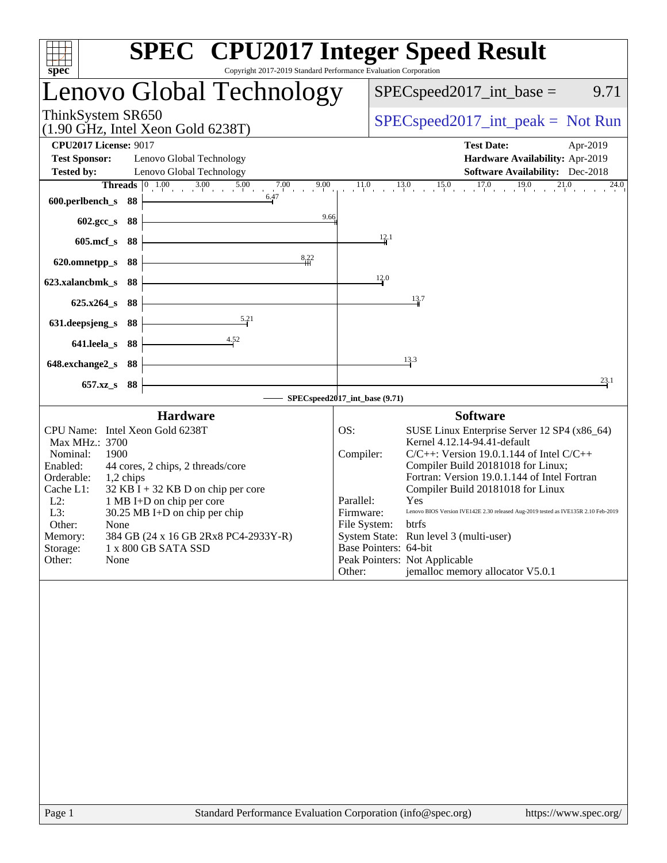| Copyright 2017-2019 Standard Performance Evaluation Corporation<br>spec <sup>®</sup>                                                                                                                                                                                                                                                                                                                                                         | <b>SPEC<sup>®</sup></b> CPU2017 Integer Speed Result                                                                                                                                                                                                                                                                                                                                                                                                                                                                                                                                              |
|----------------------------------------------------------------------------------------------------------------------------------------------------------------------------------------------------------------------------------------------------------------------------------------------------------------------------------------------------------------------------------------------------------------------------------------------|---------------------------------------------------------------------------------------------------------------------------------------------------------------------------------------------------------------------------------------------------------------------------------------------------------------------------------------------------------------------------------------------------------------------------------------------------------------------------------------------------------------------------------------------------------------------------------------------------|
| Lenovo Global Technology                                                                                                                                                                                                                                                                                                                                                                                                                     | 9.71<br>$SPEC speed2017$ _int_base =                                                                                                                                                                                                                                                                                                                                                                                                                                                                                                                                                              |
| ThinkSystem SR650<br>$(1.90$ GHz, Intel Xeon Gold 6238T)                                                                                                                                                                                                                                                                                                                                                                                     | $SPEC speed2017\_int\_peak = Not Run$                                                                                                                                                                                                                                                                                                                                                                                                                                                                                                                                                             |
| <b>CPU2017 License: 9017</b><br><b>Test Sponsor:</b><br>Lenovo Global Technology<br><b>Tested by:</b><br>Lenovo Global Technology                                                                                                                                                                                                                                                                                                            | <b>Test Date:</b><br>Apr-2019<br>Hardware Availability: Apr-2019<br>Software Availability: Dec-2018                                                                                                                                                                                                                                                                                                                                                                                                                                                                                               |
| <b>Threads</b> $\begin{array}{ccc} 0 & 1.00 & 3.00 & 5.00 \\ 1 & 0 & 3.00 & 5.00 \\ 0 & 0 & 0 & 0.00 \\ 0 & 0 & 0 & 0.00 \\ 0 & 0 & 0 & 0.00 \\ 0 & 0 & 0 & 0.00 \\ 0 & 0 & 0 & 0.00 \\ 0 & 0 & 0 & 0.00 \\ 0 & 0 & 0 & 0 & 0.0 \\ 0 & 0 & 0 & 0 & 0.0 \\ 0 & 0 & 0 & 0 & 0 & 0.0 \\ 0 & 0 & 0 & 0 & 0 & 0.0 \\$<br>7.00<br>9.00<br>$\frac{100}{1}$ and $\frac{200}{1}$<br>6.47<br>600.perlbench_s<br>- 88                                   | $11.0$ $13.0$ $15.0$ $17.0$ $19.0$ $21.0$<br>24.0                                                                                                                                                                                                                                                                                                                                                                                                                                                                                                                                                 |
| 9.66<br>602.gcc_s<br>88<br>$605$ .mcf_s<br>88                                                                                                                                                                                                                                                                                                                                                                                                | $\frac{12}{4}$                                                                                                                                                                                                                                                                                                                                                                                                                                                                                                                                                                                    |
| 8,22<br>620.omnetpp_s<br>88<br>88<br>623.xalancbmk_s                                                                                                                                                                                                                                                                                                                                                                                         | 12.0                                                                                                                                                                                                                                                                                                                                                                                                                                                                                                                                                                                              |
| $625.x264_s$<br>-88<br>5.21                                                                                                                                                                                                                                                                                                                                                                                                                  | 13.7                                                                                                                                                                                                                                                                                                                                                                                                                                                                                                                                                                                              |
| 631.deepsjeng_s<br>88<br>641.leela_s<br>88                                                                                                                                                                                                                                                                                                                                                                                                   |                                                                                                                                                                                                                                                                                                                                                                                                                                                                                                                                                                                                   |
| 648.exchange2_s<br>-88<br>$657.xz$ <sub>S</sub><br>-88                                                                                                                                                                                                                                                                                                                                                                                       | 13.3<br>23.1                                                                                                                                                                                                                                                                                                                                                                                                                                                                                                                                                                                      |
|                                                                                                                                                                                                                                                                                                                                                                                                                                              | SPECspeed2017_int_base (9.71)                                                                                                                                                                                                                                                                                                                                                                                                                                                                                                                                                                     |
| <b>Hardware</b><br>CPU Name: Intel Xeon Gold 6238T<br>Max MHz.: 3700<br>1900<br>Nominal:<br>Enabled:<br>44 cores, 2 chips, 2 threads/core<br>Orderable:<br>1,2 chips<br>Cache L1:<br>$32$ KB I + 32 KB D on chip per core<br>$L2$ :<br>1 MB I+D on chip per core<br>L3:<br>$30.25 \text{ MB}$ I+D on chip per chip<br>Other:<br>None<br>Memory:<br>384 GB (24 x 16 GB 2Rx8 PC4-2933Y-R)<br>Storage:<br>1 x 800 GB SATA SSD<br>Other:<br>None | <b>Software</b><br>SUSE Linux Enterprise Server 12 SP4 (x86_64)<br>OS:<br>Kernel 4.12.14-94.41-default<br>Compiler:<br>$C/C++$ : Version 19.0.1.144 of Intel $C/C++$<br>Compiler Build 20181018 for Linux;<br>Fortran: Version 19.0.1.144 of Intel Fortran<br>Compiler Build 20181018 for Linux<br>Parallel:<br>Yes<br>Firmware:<br>Lenovo BIOS Version IVE142E 2.30 released Aug-2019 tested as IVE135R 2.10 Feb-2019<br>File System:<br>btrfs<br>System State: Run level 3 (multi-user)<br>Base Pointers: 64-bit<br>Peak Pointers: Not Applicable<br>jemalloc memory allocator V5.0.1<br>Other: |
|                                                                                                                                                                                                                                                                                                                                                                                                                                              |                                                                                                                                                                                                                                                                                                                                                                                                                                                                                                                                                                                                   |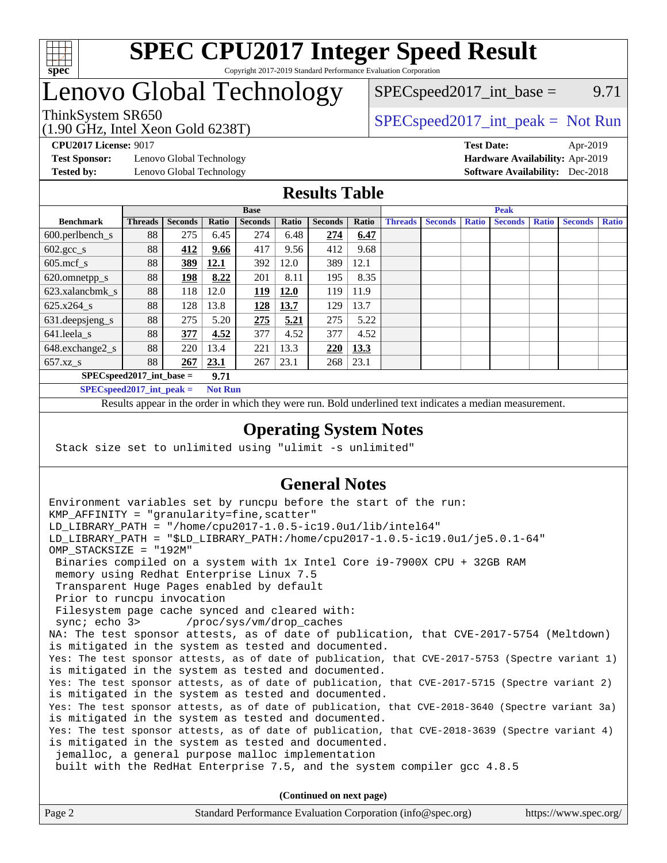

## Lenovo Global Technology

(1.90 GHz, Intel Xeon Gold 6238T)

 $SPEC speed2017\_int\_base =$  9.71

### ThinkSystem SR650  $SPEC speed2017\_int\_peak = Not Run$

**[Test Sponsor:](http://www.spec.org/auto/cpu2017/Docs/result-fields.html#TestSponsor)** Lenovo Global Technology **[Hardware Availability:](http://www.spec.org/auto/cpu2017/Docs/result-fields.html#HardwareAvailability)** Apr-2019 **[Tested by:](http://www.spec.org/auto/cpu2017/Docs/result-fields.html#Testedby)** Lenovo Global Technology **[Software Availability:](http://www.spec.org/auto/cpu2017/Docs/result-fields.html#SoftwareAvailability)** Dec-2018

**[CPU2017 License:](http://www.spec.org/auto/cpu2017/Docs/result-fields.html#CPU2017License)** 9017 **[Test Date:](http://www.spec.org/auto/cpu2017/Docs/result-fields.html#TestDate)** Apr-2019

#### **[Results Table](http://www.spec.org/auto/cpu2017/Docs/result-fields.html#ResultsTable)**

|                             |                |                |       | <b>Base</b>    |             |                |       |                |                |              | <b>Peak</b>    |              |                |              |
|-----------------------------|----------------|----------------|-------|----------------|-------------|----------------|-------|----------------|----------------|--------------|----------------|--------------|----------------|--------------|
| <b>Benchmark</b>            | <b>Threads</b> | <b>Seconds</b> | Ratio | <b>Seconds</b> | Ratio       | <b>Seconds</b> | Ratio | <b>Threads</b> | <b>Seconds</b> | <b>Ratio</b> | <b>Seconds</b> | <b>Ratio</b> | <b>Seconds</b> | <b>Ratio</b> |
| $600.$ perlbench_s          | 88             | 275            | 6.45  | 274            | 6.48        | 274            | 6.47  |                |                |              |                |              |                |              |
| $602.\text{gcc}\_\text{s}$  | 88             | 412            | 9.66  | 417            | 9.56        | 412            | 9.68  |                |                |              |                |              |                |              |
| $605$ .mcf s                | 88             | 389            | 12.1  | 392            | 12.0        | 389            | 12.1  |                |                |              |                |              |                |              |
| 620.omnetpp_s               | 88             | 198            | 8.22  | 201            | 8.11        | 195            | 8.35  |                |                |              |                |              |                |              |
| 623.xalancbmk s             | 88             | 118            | 12.0  | 119            | <b>12.0</b> | 119            | 11.9  |                |                |              |                |              |                |              |
| 625.x264 s                  | 88             | 128            | 13.8  | <u>128</u>     | 13.7        | 129            | 13.7  |                |                |              |                |              |                |              |
| 631.deepsjeng_s             | 88             | 275            | 5.20  | 275            | 5.21        | 275            | 5.22  |                |                |              |                |              |                |              |
| 641.leela s                 | 88             | 377            | 4.52  | 377            | 4.52        | 377            | 4.52  |                |                |              |                |              |                |              |
| 648.exchange2_s             | 88             | 220            | 13.4  | 221            | 13.3        | 220            | 13.3  |                |                |              |                |              |                |              |
| $657.xz$ <sub>S</sub>       | 88             | 267            | 23.1  | 267            | 23.1        | 268            | 23.1  |                |                |              |                |              |                |              |
| $SPEC speed2017$ int base = |                |                | 9.71  |                |             |                |       |                |                |              |                |              |                |              |

**[SPECspeed2017\\_int\\_peak =](http://www.spec.org/auto/cpu2017/Docs/result-fields.html#SPECspeed2017intpeak) Not Run**

Results appear in the [order in which they were run.](http://www.spec.org/auto/cpu2017/Docs/result-fields.html#RunOrder) Bold underlined text [indicates a median measurement.](http://www.spec.org/auto/cpu2017/Docs/result-fields.html#Median)

#### **[Operating System Notes](http://www.spec.org/auto/cpu2017/Docs/result-fields.html#OperatingSystemNotes)**

Stack size set to unlimited using "ulimit -s unlimited"

### **[General Notes](http://www.spec.org/auto/cpu2017/Docs/result-fields.html#GeneralNotes)**

Environment variables set by runcpu before the start of the run: KMP AFFINITY = "granularity=fine, scatter" LD\_LIBRARY\_PATH = "/home/cpu2017-1.0.5-ic19.0u1/lib/intel64" LD\_LIBRARY\_PATH = "\$LD\_LIBRARY\_PATH:/home/cpu2017-1.0.5-ic19.0u1/je5.0.1-64" OMP\_STACKSIZE = "192M" Binaries compiled on a system with 1x Intel Core i9-7900X CPU + 32GB RAM memory using Redhat Enterprise Linux 7.5 Transparent Huge Pages enabled by default Prior to runcpu invocation Filesystem page cache synced and cleared with: sync; echo 3> /proc/sys/vm/drop\_caches NA: The test sponsor attests, as of date of publication, that CVE-2017-5754 (Meltdown) is mitigated in the system as tested and documented. Yes: The test sponsor attests, as of date of publication, that CVE-2017-5753 (Spectre variant 1) is mitigated in the system as tested and documented. Yes: The test sponsor attests, as of date of publication, that CVE-2017-5715 (Spectre variant 2) is mitigated in the system as tested and documented. Yes: The test sponsor attests, as of date of publication, that CVE-2018-3640 (Spectre variant 3a) is mitigated in the system as tested and documented. Yes: The test sponsor attests, as of date of publication, that CVE-2018-3639 (Spectre variant 4) is mitigated in the system as tested and documented. jemalloc, a general purpose malloc implementation built with the RedHat Enterprise 7.5, and the system compiler gcc 4.8.5 **(Continued on next page)**

| Standard Performance Evaluation Corporation (info@spec.org)<br>Page 2 | https://www.spec.org/ |
|-----------------------------------------------------------------------|-----------------------|
|-----------------------------------------------------------------------|-----------------------|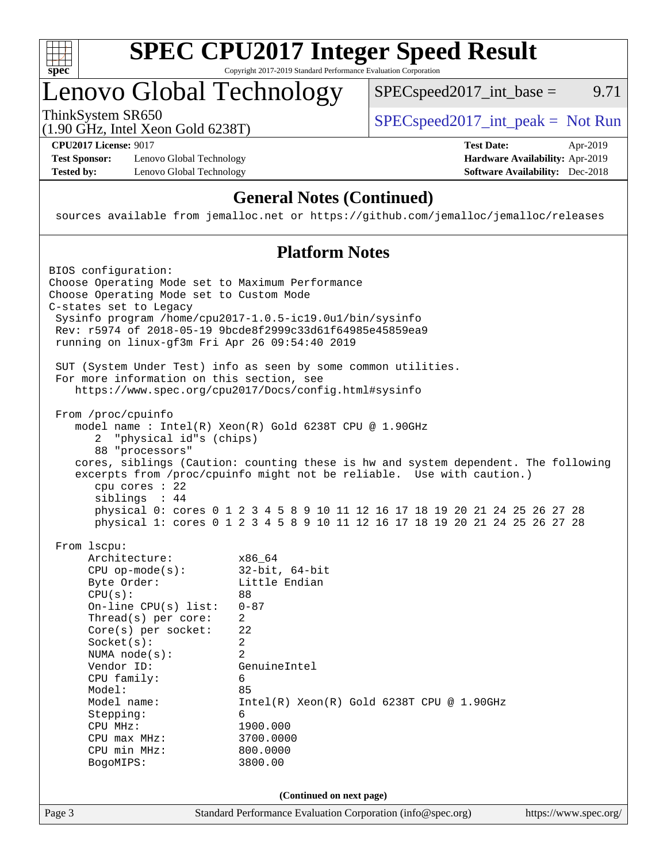

## Lenovo Global Technology

ThinkSystem SR650  $SPEC speed2017\_int\_peak = Not Run$ 

 $SPEC speed2017\_int\_base =$  9.71

(1.90 GHz, Intel Xeon Gold 6238T)

**[Test Sponsor:](http://www.spec.org/auto/cpu2017/Docs/result-fields.html#TestSponsor)** Lenovo Global Technology **[Hardware Availability:](http://www.spec.org/auto/cpu2017/Docs/result-fields.html#HardwareAvailability)** Apr-2019 **[Tested by:](http://www.spec.org/auto/cpu2017/Docs/result-fields.html#Testedby)** Lenovo Global Technology **[Software Availability:](http://www.spec.org/auto/cpu2017/Docs/result-fields.html#SoftwareAvailability)** Dec-2018

**[CPU2017 License:](http://www.spec.org/auto/cpu2017/Docs/result-fields.html#CPU2017License)** 9017 **[Test Date:](http://www.spec.org/auto/cpu2017/Docs/result-fields.html#TestDate)** Apr-2019

### **[General Notes \(Continued\)](http://www.spec.org/auto/cpu2017/Docs/result-fields.html#GeneralNotes)**

sources available from jemalloc.net or <https://github.com/jemalloc/jemalloc/releases>

#### **[Platform Notes](http://www.spec.org/auto/cpu2017/Docs/result-fields.html#PlatformNotes)**

Page 3 Standard Performance Evaluation Corporation [\(info@spec.org\)](mailto:info@spec.org) <https://www.spec.org/> BIOS configuration: Choose Operating Mode set to Maximum Performance Choose Operating Mode set to Custom Mode C-states set to Legacy Sysinfo program /home/cpu2017-1.0.5-ic19.0u1/bin/sysinfo Rev: r5974 of 2018-05-19 9bcde8f2999c33d61f64985e45859ea9 running on linux-gf3m Fri Apr 26 09:54:40 2019 SUT (System Under Test) info as seen by some common utilities. For more information on this section, see <https://www.spec.org/cpu2017/Docs/config.html#sysinfo> From /proc/cpuinfo model name : Intel(R) Xeon(R) Gold 6238T CPU @ 1.90GHz 2 "physical id"s (chips) 88 "processors" cores, siblings (Caution: counting these is hw and system dependent. The following excerpts from /proc/cpuinfo might not be reliable. Use with caution.) cpu cores : 22 siblings : 44 physical 0: cores 0 1 2 3 4 5 8 9 10 11 12 16 17 18 19 20 21 24 25 26 27 28 physical 1: cores 0 1 2 3 4 5 8 9 10 11 12 16 17 18 19 20 21 24 25 26 27 28 From lscpu: Architecture: x86\_64 CPU op-mode(s): 32-bit, 64-bit Byte Order: Little Endian  $CPU(s):$  88 On-line CPU(s) list: 0-87 Thread(s) per core: 2 Core(s) per socket: 22 Socket(s): 2 NUMA node(s): 2 Vendor ID: GenuineIntel CPU family: 6 Model: 85 Model name: Intel(R) Xeon(R) Gold 6238T CPU @ 1.90GHz Stepping: 6 CPU MHz: 1900.000 CPU max MHz: 3700.0000 CPU min MHz: 800.0000 BogoMIPS: 3800.00 **(Continued on next page)**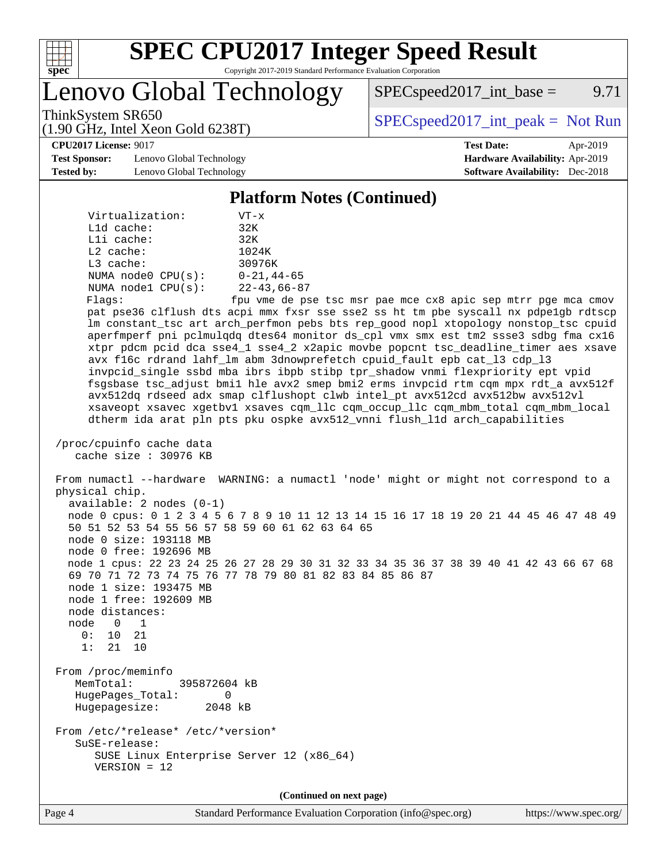

Lenovo Global Technology

 $SPEC speed2017\_int\_base =$  9.71

(1.90 GHz, Intel Xeon Gold 6238T)

ThinkSystem SR650<br>  $\begin{array}{r} \text{SPEC speed2017\_int\_peak = Not Run} \\ \text{SPEC speed2017\_int\_peak = Not Run} \end{array}$ 

**[CPU2017 License:](http://www.spec.org/auto/cpu2017/Docs/result-fields.html#CPU2017License)** 9017 **[Test Date:](http://www.spec.org/auto/cpu2017/Docs/result-fields.html#TestDate)** Apr-2019

**[Test Sponsor:](http://www.spec.org/auto/cpu2017/Docs/result-fields.html#TestSponsor)** Lenovo Global Technology **[Hardware Availability:](http://www.spec.org/auto/cpu2017/Docs/result-fields.html#HardwareAvailability)** Apr-2019 **[Tested by:](http://www.spec.org/auto/cpu2017/Docs/result-fields.html#Testedby)** Lenovo Global Technology **[Software Availability:](http://www.spec.org/auto/cpu2017/Docs/result-fields.html#SoftwareAvailability)** Dec-2018

#### **[Platform Notes \(Continued\)](http://www.spec.org/auto/cpu2017/Docs/result-fields.html#PlatformNotes)**

| Virtualization:         | $VT - x$          |
|-------------------------|-------------------|
| $L1d$ cache:            | 32K               |
| Lli cache:              | 32K               |
| $L2$ cache:             | 1024K             |
| $L3$ cache:             | 30976K            |
| NUMA $node0$ $CPU(s)$ : | $0 - 21, 44 - 65$ |
| NUMA $node1$ $CPU(s)$ : | $22 - 43,66 - 87$ |
| Flags:                  | fnu vme de ns     |

e de pse tsc msr pae mce cx8 apic sep mtrr pge mca cmov pat pse36 clflush dts acpi mmx fxsr sse sse2 ss ht tm pbe syscall nx pdpe1gb rdtscp lm constant\_tsc art arch\_perfmon pebs bts rep\_good nopl xtopology nonstop\_tsc cpuid aperfmperf pni pclmulqdq dtes64 monitor ds\_cpl vmx smx est tm2 ssse3 sdbg fma cx16 xtpr pdcm pcid dca sse4\_1 sse4\_2 x2apic movbe popcnt tsc\_deadline\_timer aes xsave avx f16c rdrand lahf\_lm abm 3dnowprefetch cpuid\_fault epb cat\_l3 cdp\_l3 invpcid\_single ssbd mba ibrs ibpb stibp tpr\_shadow vnmi flexpriority ept vpid fsgsbase tsc\_adjust bmi1 hle avx2 smep bmi2 erms invpcid rtm cqm mpx rdt\_a avx512f avx512dq rdseed adx smap clflushopt clwb intel\_pt avx512cd avx512bw avx512vl xsaveopt xsavec xgetbv1 xsaves cqm\_llc cqm\_occup\_llc cqm\_mbm\_total cqm\_mbm\_local dtherm ida arat pln pts pku ospke avx512\_vnni flush\_l1d arch\_capabilities

 /proc/cpuinfo cache data cache size : 30976 KB

 From numactl --hardware WARNING: a numactl 'node' might or might not correspond to a physical chip. available: 2 nodes (0-1) node 0 cpus: 0 1 2 3 4 5 6 7 8 9 10 11 12 13 14 15 16 17 18 19 20 21 44 45 46 47 48 49 50 51 52 53 54 55 56 57 58 59 60 61 62 63 64 65 node 0 size: 193118 MB node 0 free: 192696 MB node 1 cpus: 22 23 24 25 26 27 28 29 30 31 32 33 34 35 36 37 38 39 40 41 42 43 66 67 68 69 70 71 72 73 74 75 76 77 78 79 80 81 82 83 84 85 86 87 node 1 size: 193475 MB node 1 free: 192609 MB node distances: node 0 1 0: 10 21 1: 21 10 From /proc/meminfo MemTotal: 395872604 kB HugePages\_Total: 0 Hugepagesize: 2048 kB From /etc/\*release\* /etc/\*version\* SuSE-release:

 SUSE Linux Enterprise Server 12 (x86\_64) VERSION = 12

**(Continued on next page)**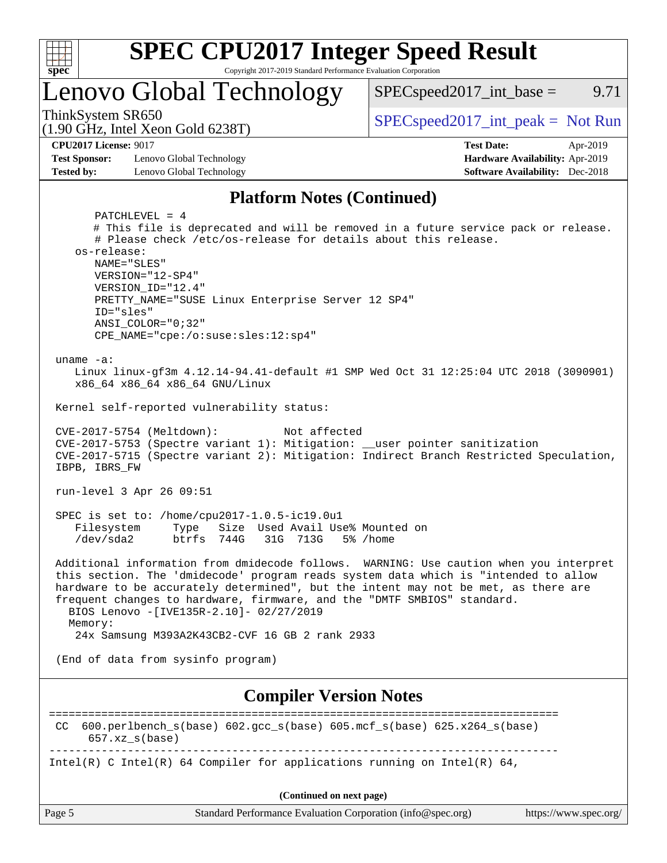

# **[SPEC CPU2017 Integer Speed Result](http://www.spec.org/auto/cpu2017/Docs/result-fields.html#SPECCPU2017IntegerSpeedResult)**

Copyright 2017-2019 Standard Performance Evaluation Corporation

Lenovo Global Technology

ThinkSystem SR650<br>(1.00 GHz, Intel Year Gald 6238T) [SPECspeed2017\\_int\\_peak =](http://www.spec.org/auto/cpu2017/Docs/result-fields.html#SPECspeed2017intpeak) Not Run

 $SPEC speed2017\_int\_base =$  9.71

(1.90 GHz, Intel Xeon Gold 6238T)

**[CPU2017 License:](http://www.spec.org/auto/cpu2017/Docs/result-fields.html#CPU2017License)** 9017 **[Test Date:](http://www.spec.org/auto/cpu2017/Docs/result-fields.html#TestDate)** Apr-2019 **[Test Sponsor:](http://www.spec.org/auto/cpu2017/Docs/result-fields.html#TestSponsor)** Lenovo Global Technology **[Hardware Availability:](http://www.spec.org/auto/cpu2017/Docs/result-fields.html#HardwareAvailability)** Apr-2019

**[Tested by:](http://www.spec.org/auto/cpu2017/Docs/result-fields.html#Testedby)** Lenovo Global Technology **[Software Availability:](http://www.spec.org/auto/cpu2017/Docs/result-fields.html#SoftwareAvailability)** Dec-2018

#### **[Platform Notes \(Continued\)](http://www.spec.org/auto/cpu2017/Docs/result-fields.html#PlatformNotes)**

| PATCHLEVEL = $4$                                                                                                   |
|--------------------------------------------------------------------------------------------------------------------|
| # This file is deprecated and will be removed in a future service pack or release.                                 |
| # Please check /etc/os-release for details about this release.<br>os-release:                                      |
| NAME="SLES"                                                                                                        |
| VERSION="12-SP4"                                                                                                   |
| VERSION ID="12.4"                                                                                                  |
| PRETTY_NAME="SUSE Linux Enterprise Server 12 SP4"                                                                  |
| ID="sles"<br>$ANSI$ _COLOR=" $0:32$ "                                                                              |
| CPE_NAME="cpe:/o:suse:sles:12:sp4"                                                                                 |
| uname $-a$ :                                                                                                       |
| Linux linux-gf3m 4.12.14-94.41-default #1 SMP Wed Oct 31 12:25:04 UTC 2018 (3090901)                               |
| x86_64 x86_64 x86_64 GNU/Linux                                                                                     |
| Kernel self-reported vulnerability status:                                                                         |
| CVE-2017-5754 (Meltdown):<br>Not affected                                                                          |
| CVE-2017-5753 (Spectre variant 1): Mitigation: __user pointer sanitization                                         |
| CVE-2017-5715 (Spectre variant 2): Mitigation: Indirect Branch Restricted Speculation,                             |
| IBPB, IBRS_FW                                                                                                      |
| run-level 3 Apr 26 09:51                                                                                           |
| SPEC is set to: /home/cpu2017-1.0.5-ic19.0u1                                                                       |
| Filesystem Type Size Used Avail Use% Mounted on                                                                    |
| /dev/sda2<br>btrfs 744G 31G 713G<br>5% /home                                                                       |
| Additional information from dmidecode follows. WARNING: Use caution when you interpret                             |
| this section. The 'dmidecode' program reads system data which is "intended to allow                                |
| hardware to be accurately determined", but the intent may not be met, as there are                                 |
| frequent changes to hardware, firmware, and the "DMTF SMBIOS" standard.<br>BIOS Lenovo -[IVE135R-2.10]- 02/27/2019 |
| Memory:                                                                                                            |
| 24x Samsung M393A2K43CB2-CVF 16 GB 2 rank 2933                                                                     |
| (End of data from sysinfo program)                                                                                 |
|                                                                                                                    |
| <b>Compiler Version Notes</b>                                                                                      |
|                                                                                                                    |
| 600.perlbench_s(base) 602.gcc_s(base) 605.mcf_s(base) 625.x264_s(base)<br>CC<br>$657.xz_s(base)$                   |
| Intel(R) C Intel(R) 64 Compiler for applications running on Intel(R) 64,                                           |
| (Continued on next page)                                                                                           |
| Page 5<br>Standard Performance Evaluation Corporation (info@spec.org)<br>https://www.spec.org/                     |
|                                                                                                                    |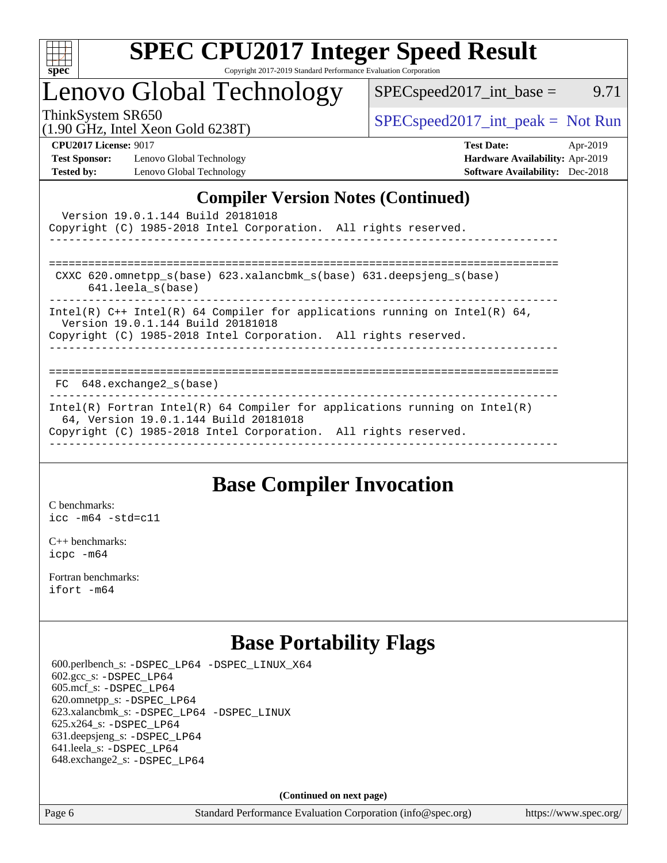

## Lenovo Global Technology

ThinkSystem SR650  $SPEC speed2017\_int\_peak = Not Run$ 

(1.90 GHz, Intel Xeon Gold 6238T)

 $SPEC speed2017\_int\_base =$  9.71

**[Test Sponsor:](http://www.spec.org/auto/cpu2017/Docs/result-fields.html#TestSponsor)** Lenovo Global Technology **[Hardware Availability:](http://www.spec.org/auto/cpu2017/Docs/result-fields.html#HardwareAvailability)** Apr-2019 **[Tested by:](http://www.spec.org/auto/cpu2017/Docs/result-fields.html#Testedby)** Lenovo Global Technology **[Software Availability:](http://www.spec.org/auto/cpu2017/Docs/result-fields.html#SoftwareAvailability)** Dec-2018

**[CPU2017 License:](http://www.spec.org/auto/cpu2017/Docs/result-fields.html#CPU2017License)** 9017 **[Test Date:](http://www.spec.org/auto/cpu2017/Docs/result-fields.html#TestDate)** Apr-2019

### **[Compiler Version Notes \(Continued\)](http://www.spec.org/auto/cpu2017/Docs/result-fields.html#CompilerVersionNotes)**

| Version 19.0.1.144 Build 20181018<br>Copyright (C) 1985-2018 Intel Corporation. All rights reserved.                                                                                   |  |
|----------------------------------------------------------------------------------------------------------------------------------------------------------------------------------------|--|
| CXXC 620.omnetpp $s(base)$ 623.xalancbmk $s(base)$ 631.deepsjeng $s(base)$<br>$641.$ leela $s(base)$                                                                                   |  |
| Intel(R) C++ Intel(R) 64 Compiler for applications running on Intel(R) 64,<br>Version 19.0.1.144 Build 20181018<br>Copyright (C) 1985-2018 Intel Corporation. All rights reserved.     |  |
| FC 648.exchange2 s(base)                                                                                                                                                               |  |
| Intel(R) Fortran Intel(R) 64 Compiler for applications running on Intel(R)<br>64, Version 19.0.1.144 Build 20181018<br>Copyright (C) 1985-2018 Intel Corporation. All rights reserved. |  |

## **[Base Compiler Invocation](http://www.spec.org/auto/cpu2017/Docs/result-fields.html#BaseCompilerInvocation)**

[C benchmarks](http://www.spec.org/auto/cpu2017/Docs/result-fields.html#Cbenchmarks): [icc -m64 -std=c11](http://www.spec.org/cpu2017/results/res2019q3/cpu2017-20190708-16014.flags.html#user_CCbase_intel_icc_64bit_c11_33ee0cdaae7deeeab2a9725423ba97205ce30f63b9926c2519791662299b76a0318f32ddfffdc46587804de3178b4f9328c46fa7c2b0cd779d7a61945c91cd35)

[C++ benchmarks:](http://www.spec.org/auto/cpu2017/Docs/result-fields.html#CXXbenchmarks) [icpc -m64](http://www.spec.org/cpu2017/results/res2019q3/cpu2017-20190708-16014.flags.html#user_CXXbase_intel_icpc_64bit_4ecb2543ae3f1412ef961e0650ca070fec7b7afdcd6ed48761b84423119d1bf6bdf5cad15b44d48e7256388bc77273b966e5eb805aefd121eb22e9299b2ec9d9)

[Fortran benchmarks](http://www.spec.org/auto/cpu2017/Docs/result-fields.html#Fortranbenchmarks): [ifort -m64](http://www.spec.org/cpu2017/results/res2019q3/cpu2017-20190708-16014.flags.html#user_FCbase_intel_ifort_64bit_24f2bb282fbaeffd6157abe4f878425411749daecae9a33200eee2bee2fe76f3b89351d69a8130dd5949958ce389cf37ff59a95e7a40d588e8d3a57e0c3fd751)

## **[Base Portability Flags](http://www.spec.org/auto/cpu2017/Docs/result-fields.html#BasePortabilityFlags)**

 600.perlbench\_s: [-DSPEC\\_LP64](http://www.spec.org/cpu2017/results/res2019q3/cpu2017-20190708-16014.flags.html#b600.perlbench_s_basePORTABILITY_DSPEC_LP64) [-DSPEC\\_LINUX\\_X64](http://www.spec.org/cpu2017/results/res2019q3/cpu2017-20190708-16014.flags.html#b600.perlbench_s_baseCPORTABILITY_DSPEC_LINUX_X64) 602.gcc\_s: [-DSPEC\\_LP64](http://www.spec.org/cpu2017/results/res2019q3/cpu2017-20190708-16014.flags.html#suite_basePORTABILITY602_gcc_s_DSPEC_LP64) 605.mcf\_s: [-DSPEC\\_LP64](http://www.spec.org/cpu2017/results/res2019q3/cpu2017-20190708-16014.flags.html#suite_basePORTABILITY605_mcf_s_DSPEC_LP64) 620.omnetpp\_s: [-DSPEC\\_LP64](http://www.spec.org/cpu2017/results/res2019q3/cpu2017-20190708-16014.flags.html#suite_basePORTABILITY620_omnetpp_s_DSPEC_LP64) 623.xalancbmk\_s: [-DSPEC\\_LP64](http://www.spec.org/cpu2017/results/res2019q3/cpu2017-20190708-16014.flags.html#suite_basePORTABILITY623_xalancbmk_s_DSPEC_LP64) [-DSPEC\\_LINUX](http://www.spec.org/cpu2017/results/res2019q3/cpu2017-20190708-16014.flags.html#b623.xalancbmk_s_baseCXXPORTABILITY_DSPEC_LINUX) 625.x264\_s: [-DSPEC\\_LP64](http://www.spec.org/cpu2017/results/res2019q3/cpu2017-20190708-16014.flags.html#suite_basePORTABILITY625_x264_s_DSPEC_LP64) 631.deepsjeng\_s: [-DSPEC\\_LP64](http://www.spec.org/cpu2017/results/res2019q3/cpu2017-20190708-16014.flags.html#suite_basePORTABILITY631_deepsjeng_s_DSPEC_LP64) 641.leela\_s: [-DSPEC\\_LP64](http://www.spec.org/cpu2017/results/res2019q3/cpu2017-20190708-16014.flags.html#suite_basePORTABILITY641_leela_s_DSPEC_LP64) 648.exchange2\_s: [-DSPEC\\_LP64](http://www.spec.org/cpu2017/results/res2019q3/cpu2017-20190708-16014.flags.html#suite_basePORTABILITY648_exchange2_s_DSPEC_LP64)

**(Continued on next page)**

Page 6 Standard Performance Evaluation Corporation [\(info@spec.org\)](mailto:info@spec.org) <https://www.spec.org/>